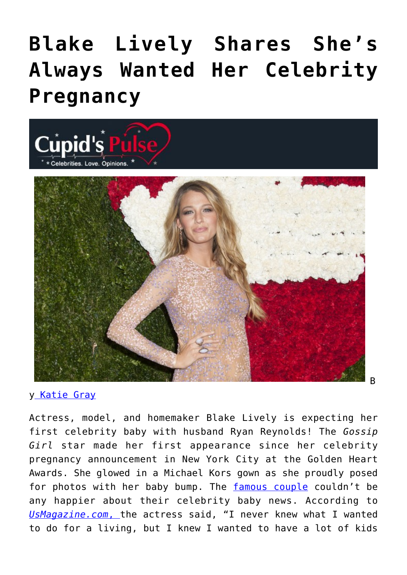## **[Blake Lively Shares She's](https://cupidspulse.com/81960/blake-lively-pregnancy-what-she-always-wanted/) [Always Wanted Her Celebrity](https://cupidspulse.com/81960/blake-lively-pregnancy-what-she-always-wanted/) [Pregnancy](https://cupidspulse.com/81960/blake-lively-pregnancy-what-she-always-wanted/)**



## y [Katie Gray](http://cupidspulse.com/105088/katie-gray/)

Actress, model, and homemaker Blake Lively is expecting her first celebrity baby with husband Ryan Reynolds! The *Gossip Girl* star made her first appearance since her celebrity pregnancy announcement in New York City at the Golden Heart Awards. She glowed in a Michael Kors gown as she proudly posed for photos with her baby bump. The [famous couple](http://cupidspulse.com/celebrity-relationships/) couldn't be any happier about their celebrity baby news. According to *[UsMagazine.com](http://www.usmagazine.com/celebrity-moms/news/blake-lively-at-michael-kors-event-20141710)*[, t](http://www.usmagazine.com/celebrity-moms/news/blake-lively-at-michael-kors-event-20141710)he actress said, "I never knew what I wanted to do for a living, but I knew I wanted to have a lot of kids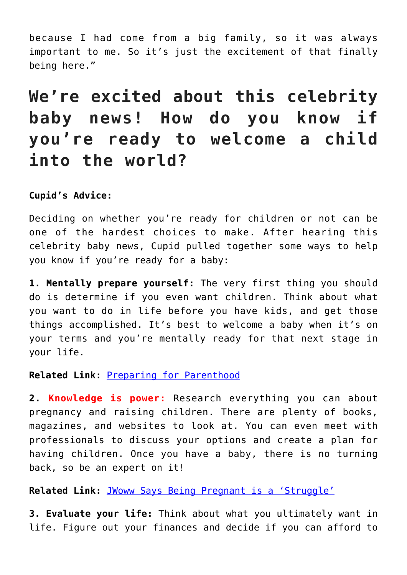because I had come from a big family, so it was always important to me. So it's just the excitement of that finally being here."

## **We're excited about this celebrity baby news! How do you know if you're ready to welcome a child into the world?**

## **Cupid's Advice:**

Deciding on whether you're ready for children or not can be one of the hardest choices to make. After hearing this celebrity baby news, Cupid pulled together some ways to help you know if you're ready for a baby:

**1. Mentally prepare yourself:** The very first thing you should do is determine if you even want children. Think about what you want to do in life before you have kids, and get those things accomplished. It's best to welcome a baby when it's on your terms and you're mentally ready for that next stage in your life.

**Related Link:** [Preparing for Parenthood](http://cupidspulse.com/73407/cupids-weekly-round-up-preparing-for-parenthood/)

**2. Knowledge is power:** Research everything you can about pregnancy and raising children. There are plenty of books, magazines, and websites to look at. You can even meet with professionals to discuss your options and create a plan for having children. Once you have a baby, there is no turning back, so be an expert on it!

**Related Link:** [JWoww Says Being Pregnant is a 'Struggle'](http://cupidspulse.com/73222/jwoww-hates-being-pregnant/)

**3. Evaluate your life:** Think about what you ultimately want in life. Figure out your finances and decide if you can afford to